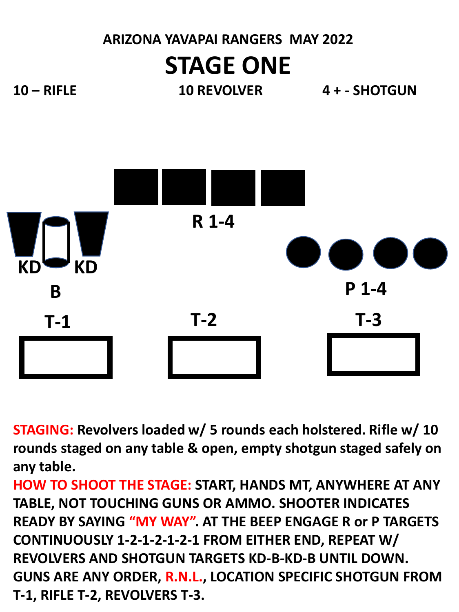# **ARIZONA YAVAPAI RANGERS MAY 2022 STAGE ONE**

**10 – RIFLE 10 REVOLVER 4 + - SHOTGUN**



**STAGING: Revolvers loaded w/ 5 rounds each holstered. Rifle w/ 10 rounds staged on any table & open, empty shotgun staged safely on any table.**

**HOW TO SHOOT THE STAGE: START, HANDS MT, ANYWHERE AT ANY TABLE, NOT TOUCHING GUNS OR AMMO. SHOOTER INDICATES READY BY SAYING "MY WAY". AT THE BEEP ENGAGE R or P TARGETS CONTINUOUSLY 1-2-1-2-1-2-1 FROM EITHER END, REPEAT W/ REVOLVERS AND SHOTGUN TARGETS KD-B-KD-B UNTIL DOWN. GUNS ARE ANY ORDER, R.N.L., LOCATION SPECIFIC SHOTGUN FROM T-1, RIFLE T-2, REVOLVERS T-3.**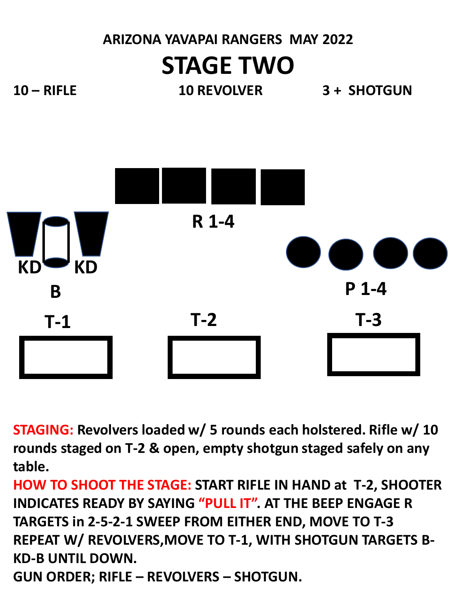## **ARIZONA YAVAPAI RANGERS MAY 2022 STAGE TWO**

**10 – RIFLE 10 REVOLVER 3 + SHOTGUN**



**STAGING: Revolvers loaded w/ 5 rounds each holstered. Rifle w/ 10 rounds staged on T-2 & open, empty shotgun staged safely on any table.**

**HOW TO SHOOT THE STAGE: START RIFLE IN HAND at T-2, SHOOTER INDICATES READY BY SAYING "PULL IT". AT THE BEEP ENGAGE R TARGETS in 2-5-2-1 SWEEP FROM EITHER END, MOVE TO T-3 REPEAT W/ REVOLVERS,MOVE TO T-1, WITH SHOTGUN TARGETS B-KD-B UNTIL DOWN. GUN ORDER; RIFLE – REVOLVERS – SHOTGUN.**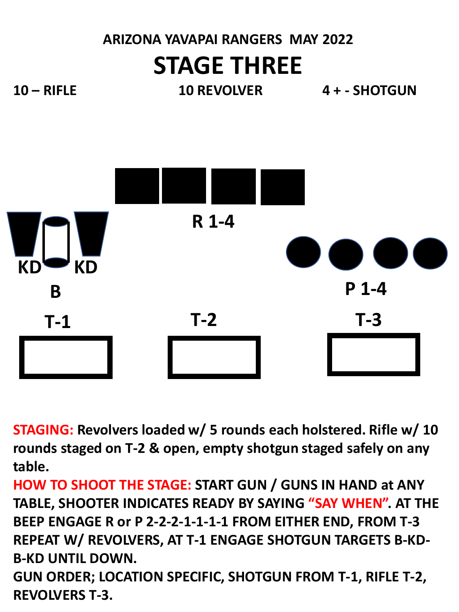### **ARIZONA YAVAPAI RANGERS MAY 2022 STAGE THREE**

**10 – RIFLE 10 REVOLVER 4 + - SHOTGUN**

**KD KD B T-1 T-2 T-3 R 1-4 P 1-4**

**STAGING: Revolvers loaded w/ 5 rounds each holstered. Rifle w/ 10 rounds staged on T-2 & open, empty shotgun staged safely on any table.**

**HOW TO SHOOT THE STAGE: START GUN / GUNS IN HAND at ANY TABLE, SHOOTER INDICATES READY BY SAYING "SAY WHEN". AT THE BEEP ENGAGE R or P 2-2-2-1-1-1-1 FROM EITHER END, FROM T-3 REPEAT W/ REVOLVERS, AT T-1 ENGAGE SHOTGUN TARGETS B-KD-B-KD UNTIL DOWN. GUN ORDER; LOCATION SPECIFIC, SHOTGUN FROM T-1, RIFLE T-2,** 

**REVOLVERS T-3.**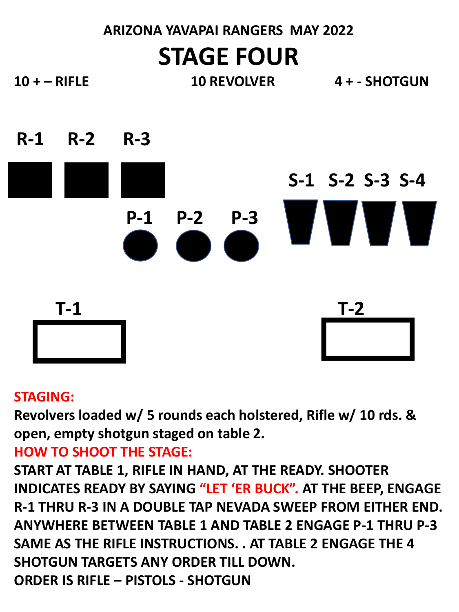### **ARIZONA YAVAPAI RANGERS MAY 2022 STAGE FOUR**

**10 + – RIFLE 10 REVOLVER 4 + - SHOTGUN**



#### **STAGING:**

**Revolvers loaded w/ 5 rounds each holstered, Rifle w/ 10 rds. & open, empty shotgun staged on table 2.**

### **HOW TO SHOOT THE STAGE:**

**START AT TABLE 1, RIFLE IN HAND, AT THE READY. SHOOTER INDICATES READY BY SAYING "LET 'ER BUCK". AT THE BEEP, ENGAGE R-1 THRU R-3 IN A DOUBLE TAP NEVADA SWEEP FROM EITHER END. ANYWHERE BETWEEN TABLE 1 AND TABLE 2 ENGAGE P-1 THRU P-3 SAME AS THE RIFLE INSTRUCTIONS. . AT TABLE 2 ENGAGE THE 4 SHOTGUN TARGETS ANY ORDER TILL DOWN. ORDER IS RIFLE – PISTOLS - SHOTGUN**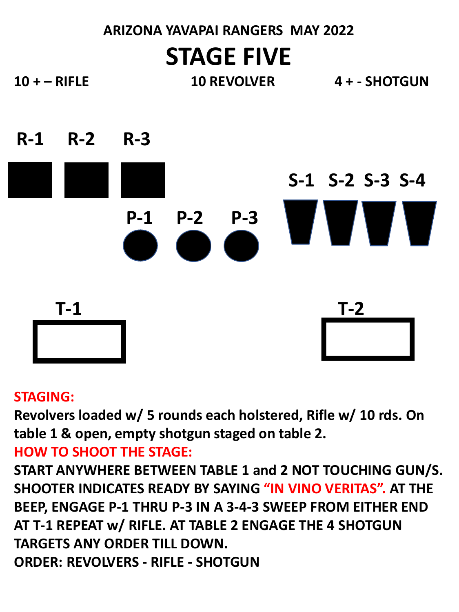### **ARIZONA YAVAPAI RANGERS MAY 2022 STAGE FIVE**

**10 + – RIFLE 10 REVOLVER 4 + - SHOTGUN**



#### **STAGING:**

**Revolvers loaded w/ 5 rounds each holstered, Rifle w/ 10 rds. On table 1 & open, empty shotgun staged on table 2.**

### **HOW TO SHOOT THE STAGE:**

**START ANYWHERE BETWEEN TABLE 1 and 2 NOT TOUCHING GUN/S. SHOOTER INDICATES READY BY SAYING "IN VINO VERITAS". AT THE BEEP, ENGAGE P-1 THRU P-3 IN A 3-4-3 SWEEP FROM EITHER END AT T-1 REPEAT w/ RIFLE. AT TABLE 2 ENGAGE THE 4 SHOTGUN TARGETS ANY ORDER TILL DOWN. ORDER: REVOLVERS - RIFLE - SHOTGUN**